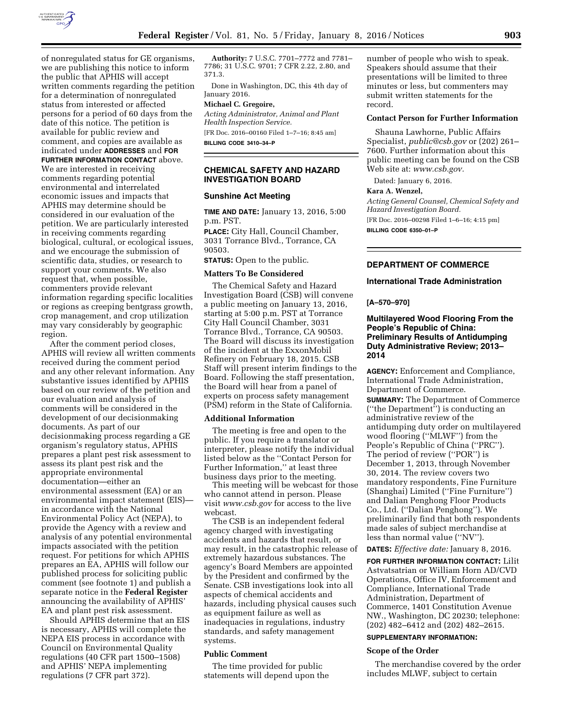

of nonregulated status for GE organisms, we are publishing this notice to inform the public that APHIS will accept written comments regarding the petition for a determination of nonregulated status from interested or affected persons for a period of 60 days from the date of this notice. The petition is available for public review and comment, and copies are available as indicated under **ADDRESSES** and **FOR**

**FURTHER INFORMATION CONTACT** above. We are interested in receiving comments regarding potential environmental and interrelated economic issues and impacts that APHIS may determine should be considered in our evaluation of the petition. We are particularly interested in receiving comments regarding biological, cultural, or ecological issues, and we encourage the submission of scientific data, studies, or research to support your comments. We also request that, when possible, commenters provide relevant information regarding specific localities or regions as creeping bentgrass growth, crop management, and crop utilization may vary considerably by geographic region.

After the comment period closes, APHIS will review all written comments received during the comment period and any other relevant information. Any substantive issues identified by APHIS based on our review of the petition and our evaluation and analysis of comments will be considered in the development of our decisionmaking documents. As part of our decisionmaking process regarding a GE organism's regulatory status, APHIS prepares a plant pest risk assessment to assess its plant pest risk and the appropriate environmental documentation—either an environmental assessment (EA) or an environmental impact statement (EIS) in accordance with the National Environmental Policy Act (NEPA), to provide the Agency with a review and analysis of any potential environmental impacts associated with the petition request. For petitions for which APHIS prepares an EA, APHIS will follow our published process for soliciting public comment (see footnote 1) and publish a separate notice in the **Federal Register**  announcing the availability of APHIS' EA and plant pest risk assessment.

Should APHIS determine that an EIS is necessary, APHIS will complete the NEPA EIS process in accordance with Council on Environmental Quality regulations (40 CFR part 1500–1508) and APHIS' NEPA implementing regulations (7 CFR part 372).

**Authority:** 7 U.S.C. 7701–7772 and 7781– 7786; 31 U.S.C. 9701; 7 CFR 2.22, 2.80, and 371.3.

Done in Washington, DC, this 4th day of January 2016.

# **Michael C. Gregoire,**

*Acting Administrator, Animal and Plant Health Inspection Service.* 

[FR Doc. 2016–00160 Filed 1–7–16; 8:45 am] **BILLING CODE 3410–34–P** 

# **CHEMICAL SAFETY AND HAZARD INVESTIGATION BOARD**

## **Sunshine Act Meeting**

**TIME AND DATE:** January 13, 2016, 5:00 p.m. PST.

**PLACE:** City Hall, Council Chamber, 3031 Torrance Blvd., Torrance, CA 90503.

**STATUS:** Open to the public.

#### **Matters To Be Considered**

The Chemical Safety and Hazard Investigation Board (CSB) will convene a public meeting on January 13, 2016, starting at 5:00 p.m. PST at Torrance City Hall Council Chamber, 3031 Torrance Blvd., Torrance, CA 90503. The Board will discuss its investigation of the incident at the ExxonMobil Refinery on February 18, 2015. CSB Staff will present interim findings to the Board. Following the staff presentation, the Board will hear from a panel of experts on process safety management (PSM) reform in the State of California.

#### **Additional Information**

The meeting is free and open to the public. If you require a translator or interpreter, please notify the individual listed below as the ''Contact Person for Further Information,'' at least three business days prior to the meeting.

This meeting will be webcast for those who cannot attend in person. Please visit *[www.csb.gov](http://www.csb.gov)* for access to the live webcast.

The CSB is an independent federal agency charged with investigating accidents and hazards that result, or may result, in the catastrophic release of extremely hazardous substances. The agency's Board Members are appointed by the President and confirmed by the Senate. CSB investigations look into all aspects of chemical accidents and hazards, including physical causes such as equipment failure as well as inadequacies in regulations, industry standards, and safety management systems.

#### **Public Comment**

The time provided for public statements will depend upon the

number of people who wish to speak. Speakers should assume that their presentations will be limited to three minutes or less, but commenters may submit written statements for the record.

#### **Contact Person for Further Information**

Shauna Lawhorne, Public Affairs Specialist, *[public@csb.gov](mailto:public@csb.gov)* or (202) 261– 7600. Further information about this public meeting can be found on the CSB Web site at: *[www.csb.gov.](http://www.csb.gov)* 

Dated: January 6, 2016.

# **Kara A. Wenzel,**

*Acting General Counsel, Chemical Safety and Hazard Investigation Board.* 

[FR Doc. 2016–00298 Filed 1–6–16; 4:15 pm] **BILLING CODE 6350–01–P** 

## **DEPARTMENT OF COMMERCE**

# **International Trade Administration**

#### **[A–570–970]**

# **Multilayered Wood Flooring From the People's Republic of China: Preliminary Results of Antidumping Duty Administrative Review; 2013– 2014**

**AGENCY:** Enforcement and Compliance, International Trade Administration, Department of Commerce. **SUMMARY:** The Department of Commerce (''the Department'') is conducting an administrative review of the antidumping duty order on multilayered wood flooring (''MLWF'') from the People's Republic of China (''PRC''). The period of review (''POR'') is December 1, 2013, through November 30, 2014. The review covers two mandatory respondents, Fine Furniture (Shanghai) Limited (''Fine Furniture'') and Dalian Penghong Floor Products Co., Ltd. (''Dalian Penghong''). We preliminarily find that both respondents made sales of subject merchandise at less than normal value (''NV'').

#### **DATES:** *Effective date:* January 8, 2016.

**FOR FURTHER INFORMATION CONTACT:** Lilit Astvatsatrian or William Horn AD/CVD Operations, Office IV, Enforcement and Compliance, International Trade Administration, Department of Commerce, 1401 Constitution Avenue NW., Washington, DC 20230; telephone: (202) 482–6412 and (202) 482–2615.

# **SUPPLEMENTARY INFORMATION:**

#### **Scope of the Order**

The merchandise covered by the order includes MLWF, subject to certain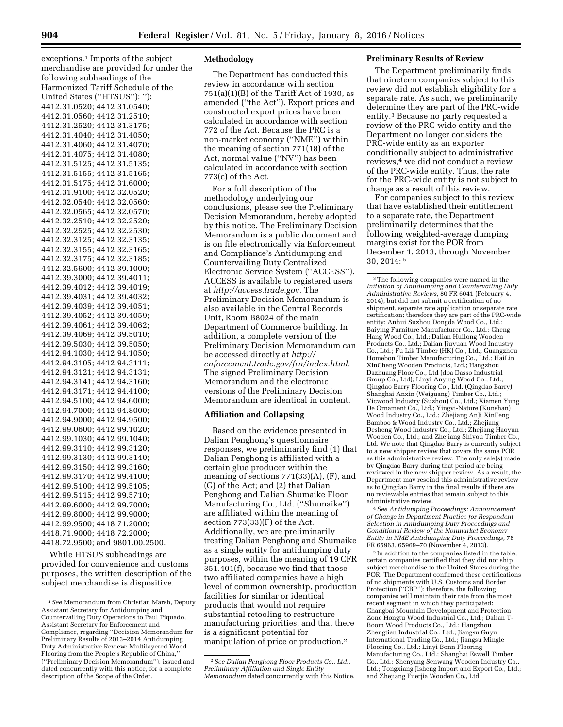exceptions.1 Imports of the subject merchandise are provided for under the following subheadings of the Harmonized Tariff Schedule of the United States (''HTSUS''): ''): 4412.31.0520; 4412.31.0540; 4412.31.0560; 4412.31.2510; 4412.31.2520; 4412.31.3175; 4412.31.4040; 4412.31.4050; 4412.31.4060; 4412.31.4070; 4412.31.4075; 4412.31.4080; 4412.31.5125; 4412.31.5135; 4412.31.5155; 4412.31.5165; 4412.31.5175; 4412.31.6000; 4412.31.9100; 4412.32.0520; 4412.32.0540; 4412.32.0560; 4412.32.0565; 4412.32.0570; 4412.32.2510; 4412.32.2520; 4412.32.2525; 4412.32.2530; 4412.32.3125; 4412.32.3135; 4412.32.3155; 4412.32.3165; 4412.32.3175; 4412.32.3185; 4412.32.5600; 4412.39.1000; 4412.39.3000; 4412.39.4011; 4412.39.4012; 4412.39.4019; 4412.39.4031; 4412.39.4032; 4412.39.4039; 4412.39.4051; 4412.39.4052; 4412.39.4059; 4412.39.4061; 4412.39.4062; 4412.39.4069; 4412.39.5010; 4412.39.5030; 4412.39.5050; 4412.94.1030; 4412.94.1050; 4412.94.3105; 4412.94.3111; 4412.94.3121; 4412.94.3131; 4412.94.3141; 4412.94.3160; 4412.94.3171; 4412.94.4100; 4412.94.5100; 4412.94.6000; 4412.94.7000; 4412.94.8000; 4412.94.9000; 4412.94.9500; 4412.99.0600; 4412.99.1020; 4412.99.1030; 4412.99.1040; 4412.99.3110; 4412.99.3120; 4412.99.3130; 4412.99.3140; 4412.99.3150; 4412.99.3160; 4412.99.3170; 4412.99.4100; 4412.99.5100; 4412.99.5105; 4412.99.5115; 4412.99.5710; 4412.99.6000; 4412.99.7000; 4412.99.8000; 4412.99.9000; 4412.99.9500; 4418.71.2000; 4418.71.9000; 4418.72.2000; 4418.72.9500; and 9801.00.2500.

While HTSUS subheadings are provided for convenience and customs purposes, the written description of the subject merchandise is dispositive.

# **Methodology**

The Department has conducted this review in accordance with section 751(a)(1)(B) of the Tariff Act of 1930, as amended (''the Act''). Export prices and constructed export prices have been calculated in accordance with section 772 of the Act. Because the PRC is a non-market economy (''NME'') within the meaning of section 771(18) of the Act, normal value (''NV'') has been calculated in accordance with section 773(c) of the Act.

For a full description of the methodology underlying our conclusions, please see the Preliminary Decision Memorandum, hereby adopted by this notice. The Preliminary Decision Memorandum is a public document and is on file electronically via Enforcement and Compliance's Antidumping and Countervailing Duty Centralized Electronic Service System (''ACCESS''). ACCESS is available to registered users at *[http://access.trade.gov.](http://access.trade.gov)* The Preliminary Decision Memorandum is also available in the Central Records Unit, Room B8024 of the main Department of Commerce building. In addition, a complete version of the Preliminary Decision Memorandum can be accessed directly at *[http://](http://enforcement.trade.gov/frn/index.html) [enforcement.trade.gov/frn/index.html.](http://enforcement.trade.gov/frn/index.html)*  The signed Preliminary Decision Memorandum and the electronic versions of the Preliminary Decision Memorandum are identical in content.

# **Affiliation and Collapsing**

Based on the evidence presented in Dalian Penghong's questionnaire responses, we preliminarily find (1) that Dalian Penghong is affiliated with a certain glue producer within the meaning of sections 771(33)(A), (F), and (G) of the Act; and (2) that Dalian Penghong and Dalian Shumaike Floor Manufacturing Co., Ltd. (''Shumaike'') are affiliated within the meaning of section 773(33)(F) of the Act. Additionally, we are preliminarily treating Dalian Penghong and Shumaike as a single entity for antidumping duty purposes, within the meaning of 19 CFR 351.401(f), because we find that those two affiliated companies have a high level of common ownership, production facilities for similar or identical products that would not require substantial retooling to restructure manufacturing priorities, and that there is a significant potential for manipulation of price or production.2

#### **Preliminary Results of Review**

The Department preliminarily finds that nineteen companies subject to this review did not establish eligibility for a separate rate. As such, we preliminarily determine they are part of the PRC-wide entity.3 Because no party requested a review of the PRC-wide entity and the Department no longer considers the PRC-wide entity as an exporter conditionally subject to administrative reviews,4 we did not conduct a review of the PRC-wide entity. Thus, the rate for the PRC-wide entity is not subject to change as a result of this review.

For companies subject to this review that have established their entitlement to a separate rate, the Department preliminarily determines that the following weighted-average dumping margins exist for the POR from December 1, 2013, through November 30, 2014: 5

3The following companies were named in the *Initiation of Antidumping and Countervailing Duty Administrative Reviews,* 80 FR 6041 (February 4, 2014), but did not submit a certification of no shipment, separate rate application or separate rate certification; therefore they are part of the PRC-wide entity: Anhui Suzhou Dongda Wood Co., Ltd.; Baiying Furniture Manufacturer Co., Ltd.; Cheng Hang Wood Co., Ltd.; Dalian Huilong Wooden Products Co., Ltd.; Dalian Jiuyuan Wood Industry Co., Ltd.; Fu Lik Timber (HK) Co., Ltd.; Guangzhou Homebon Timber Manufacturing Co., Ltd.; HaiLin XinCheng Wooden Products, Ltd.; Hangzhou Dazhuang Floor Co., Ltd (dba Dasso Industrial Group Co., Ltd); Linyi Anying Wood Co., Ltd.; Qingdao Barry Flooring Co., Ltd. (Qingdao Barry); Shanghai Anxin (Weiguang) Timber Co., Ltd.; Vicwood Industry (Suzhou) Co., Ltd.; Xiamen Yung De Ornament Co., Ltd.; Yingyi-Nature (Kunshan) Wood Industry Co., Ltd.; Zhejiang AnJi XinFeng Bamboo & Wood Industry Co., Ltd.; Zhejiang Desheng Wood Industry Co., Ltd.; Zhejiang Haoyun Wooden Co., Ltd.; and Zhejiang Shiyou Timber Co., Ltd. We note that Qingdao Barry is currently subject to a new shipper review that covers the same POR as this administrative review. The only sale(s) made by Qingdao Barry during that period are being reviewed in the new shipper review. As a result, the Department may rescind this administrative review as to Qingdao Barry in the final results if there are no reviewable entries that remain subject to this administrative review.

4*See Antidumping Proceedings: Announcement of Change in Department Practice for Respondent Selection in Antidumping Duty Proceedings and Conditional Review of the Nonmarket Economy Entity in NME Antidumping Duty Proceedings,* 78

<sup>5</sup> In addition to the companies listed in the table, certain companies certified that they did not ship subject merchandise to the United States during the POR. The Department confirmed these certifications of no shipments with U.S. Customs and Border Protection ("CBP"); therefore, the following companies will maintain their rate from the most recent segment in which they participated: Changbai Mountain Development and Protection Zone Hongtu Wood Industrial Co., Ltd.; Dalian T-Boom Wood Products Co., Ltd.; Hangzhou Zhengtian Industrial Co., Ltd.; Jiangsu Guyu International Trading Co., Ltd.; Jiangsu Mingle Flooring Co., Ltd.; Linyi Bonn Flooring Manufacturing Co., Ltd.; Shanghai Eswell Timber Co., Ltd.; Shenyang Senwang Wooden Industry Co., Ltd.; Tongxiang Jisheng Import and Export Co., Ltd.; and Zhejiang Fuerjia Wooden Co., Ltd.

<sup>1</sup>*See* Memorandum from Christian Marsh, Deputy Assistant Secretary for Antidumping and Countervailing Duty Operations to Paul Piquado, Assistant Secretary for Enforcement and Compliance, regarding ''Decision Memorandum for Preliminary Results of 2013–2014 Antidumping Duty Administrative Review: Multilayered Wood Flooring from the People's Republic of China,'' (''Preliminary Decision Memorandum''), issued and dated concurrently with this notice, for a complete description of the Scope of the Order.

<sup>2</sup>*See Dalian Penghong Floor Products Co., Ltd., Preliminary Affiliation and Single Entity Memorandum* dated concurrently with this Notice.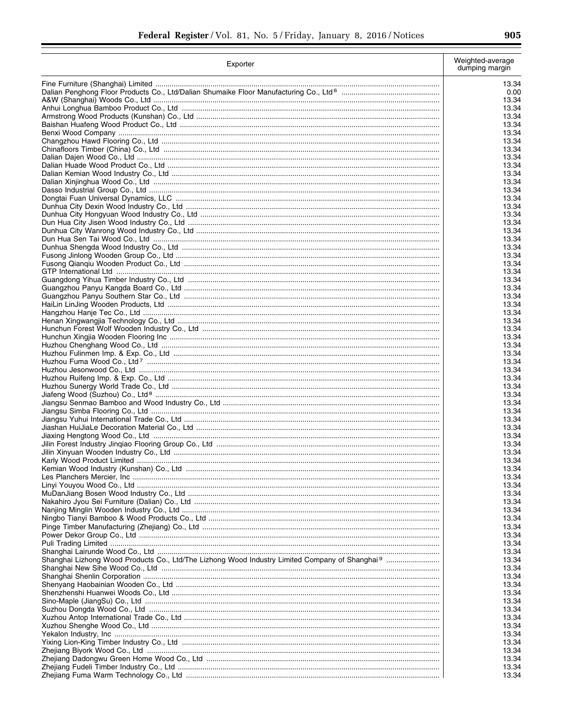| 905 |
|-----|
|     |

| Exporter | Weighted-average<br>dumping margin |
|----------|------------------------------------|
|          | 13.34                              |
|          | 0.00                               |
|          | 13.34                              |
|          | 13.34                              |
|          | 13.34                              |
|          | 13.34                              |
|          | 13.34                              |
|          | 13.34                              |
|          | 13.34<br>13.34                     |
|          | 13.34                              |
|          | 13.34                              |
|          | 13.34                              |
|          | 13.34                              |
|          | 13.34                              |
|          | 13.34                              |
|          | 13.34                              |
|          | 13.34                              |
|          | 13.34<br>13.34                     |
|          | 13.34                              |
|          | 13.34                              |
|          | 13.34                              |
|          | 13.34                              |
|          | 13.34                              |
|          | 13.34                              |
|          | 13.34                              |
|          | 13.34                              |
|          | 13.34                              |
|          | 13.34<br>13.34                     |
|          | 13.34                              |
|          | 13.34                              |
|          | 13.34                              |
|          | 13.34                              |
|          | 13.34                              |
|          | 13.34                              |
|          | 13.34                              |
|          | 13.34                              |
|          | 13.34                              |
|          | 13.34<br>13.34                     |
|          | 13.34                              |
|          | 13.34                              |
|          | 13.34                              |
|          | 13.34                              |
|          | 13.34                              |
|          | 13.34                              |
|          | 13.34                              |
|          | 13.34                              |
|          | 13.34<br>13.34                     |
|          | 13.34                              |
|          | 13.34                              |
|          | 13.34                              |
|          | 13.34                              |
|          | 13.34                              |
|          | 13.34                              |
|          | 13.34                              |
|          | 13.34                              |
|          | 13.34                              |
|          | 13.34                              |
|          | 13.34<br>13.34                     |
|          | 13.34                              |
|          | 13.34                              |
|          | 13.34                              |
|          | 13.34                              |
|          | 13.34                              |
|          | 13.34                              |
|          | 13.34                              |
|          | 13.34                              |
|          | 13.34                              |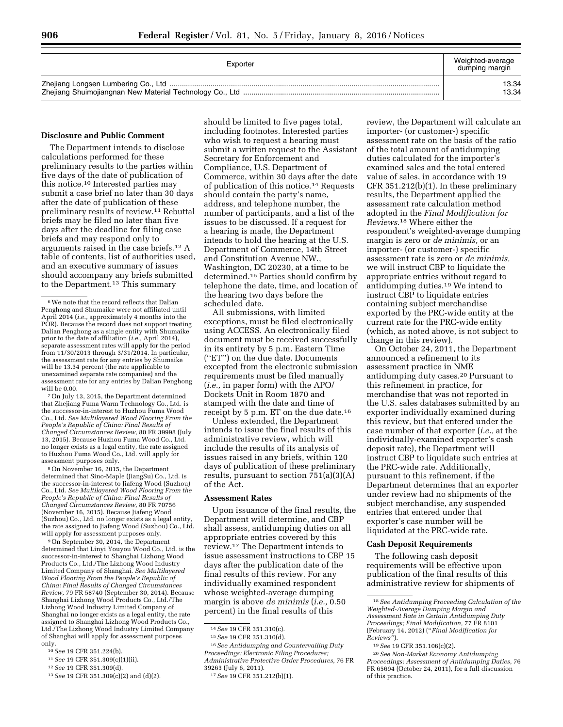| Exporter | Weighted-average<br>dumping margin |
|----------|------------------------------------|
|          | 13.34                              |
|          | 13.34                              |

# **Disclosure and Public Comment**

The Department intends to disclose calculations performed for these preliminary results to the parties within five days of the date of publication of this notice.10 Interested parties may submit a case brief no later than 30 days after the date of publication of these preliminary results of review.11 Rebuttal briefs may be filed no later than five days after the deadline for filing case briefs and may respond only to arguments raised in the case briefs.12 A table of contents, list of authorities used, and an executive summary of issues should accompany any briefs submitted to the Department.13 This summary

7On July 13, 2015, the Department determined that Zhejiang Fuma Warm Technology Co., Ltd. is the successor-in-interest to Huzhou Fuma Wood Co., Ltd. *See Multilayered Wood Flooring From the People's Republic of China: Final Results of Changed Circumstances Review,* 80 FR 39998 (July 13, 2015). Because Huzhou Fuma Wood Co., Ltd. no longer exists as a legal entity, the rate assigned to Huzhou Fuma Wood Co., Ltd. will apply for assessment purposes only.

8On November 16, 2015, the Department determined that Sino-Maple (JiangSu) Co., Ltd. is the successor-in-interest to Jiafeng Wood (Suzhou) Co., Ltd. *See Multilayered Wood Flooring From the People's Republic of China: Final Results of Changed Circumstances Review,* 80 FR 70756 (November 16, 2015). Because Jiafeng Wood (Suzhou) Co., Ltd. no longer exists as a legal entity, the rate assigned to Jiafeng Wood (Suzhou) Co., Ltd. will apply for assessment purposes only.

9On September 30, 2014, the Department determined that Linyi Youyou Wood Co., Ltd. is the successor-in-interest to Shanghai Lizhong Wood Products Co., Ltd./The Lizhong Wood Industry Limited Company of Shanghai. *See Multilayered Wood Flooring From the People's Republic of China: Final Results of Changed Circumstances Review,* 79 FR 58740 (September 30, 2014). Because Shanghai Lizhong Wood Products Co., Ltd./The Lizhong Wood Industry Limited Company of Shanghai no longer exists as a legal entity, the rate assigned to Shanghai Lizhong Wood Products Co., Ltd./The Lizhong Wood Industry Limited Company of Shanghai will apply for assessment purposes only.

- 10*See* 19 CFR 351.224(b).
- 11*See* 19 CFR 351.309(c)(1)(ii).
- 12*See* 19 CFR 351.309(d).

should be limited to five pages total, including footnotes. Interested parties who wish to request a hearing must submit a written request to the Assistant Secretary for Enforcement and Compliance, U.S. Department of Commerce, within 30 days after the date of publication of this notice.14 Requests should contain the party's name, address, and telephone number, the number of participants, and a list of the issues to be discussed. If a request for a hearing is made, the Department intends to hold the hearing at the U.S. Department of Commerce, 14th Street and Constitution Avenue NW., Washington, DC 20230, at a time to be determined.15 Parties should confirm by telephone the date, time, and location of the hearing two days before the scheduled date.

All submissions, with limited exceptions, must be filed electronically using ACCESS. An electronically filed document must be received successfully in its entirety by 5 p.m. Eastern Time (''ET'') on the due date. Documents excepted from the electronic submission requirements must be filed manually (*i.e.,* in paper form) with the APO/ Dockets Unit in Room 1870 and stamped with the date and time of receipt by 5 p.m. ET on the due date.16

Unless extended, the Department intends to issue the final results of this administrative review, which will include the results of its analysis of issues raised in any briefs, within 120 days of publication of these preliminary results, pursuant to section 751(a)(3)(A) of the Act.

#### **Assessment Rates**

Upon issuance of the final results, the Department will determine, and CBP shall assess, antidumping duties on all appropriate entries covered by this review.17 The Department intends to issue assessment instructions to CBP 15 days after the publication date of the final results of this review. For any individually examined respondent whose weighted-average dumping margin is above *de minimis* (*i.e.,* 0.50 percent) in the final results of this

16*See Antidumping and Countervailing Duty Proceedings: Electronic Filing Procedures; Administrative Protective Order Procedures,* 76 FR 39263 (July 6, 2011).

review, the Department will calculate an importer- (or customer-) specific assessment rate on the basis of the ratio of the total amount of antidumping duties calculated for the importer's examined sales and the total entered value of sales, in accordance with 19 CFR 351.212(b)(1). In these preliminary results, the Department applied the assessment rate calculation method adopted in the *Final Modification for Reviews.*18 Where either the respondent's weighted-average dumping margin is zero or *de minimis,* or an importer- (or customer-) specific assessment rate is zero or *de minimis,*  we will instruct CBP to liquidate the appropriate entries without regard to antidumping duties.19 We intend to instruct CBP to liquidate entries containing subject merchandise exported by the PRC-wide entity at the current rate for the PRC-wide entity (which, as noted above, is not subject to change in this review).

On October 24, 2011, the Department announced a refinement to its assessment practice in NME antidumping duty cases.20 Pursuant to this refinement in practice, for merchandise that was not reported in the U.S. sales databases submitted by an exporter individually examined during this review, but that entered under the case number of that exporter (*i.e.,* at the individually-examined exporter's cash deposit rate), the Department will instruct CBP to liquidate such entries at the PRC-wide rate. Additionally, pursuant to this refinement, if the Department determines that an exporter under review had no shipments of the subject merchandise, any suspended entries that entered under that exporter's case number will be liquidated at the PRC-wide rate.

# **Cash Deposit Requirements**

The following cash deposit requirements will be effective upon publication of the final results of this administrative review for shipments of

<sup>6</sup>We note that the record reflects that Dalian Penghong and Shumaike were not affiliated until April 2014 (*i.e.,* approximately 4 months into the POR). Because the record does not support treating Dalian Penghong as a single entity with Shumaike prior to the date of affiliation (*i.e.,* April 2014), separate assessment rates will apply for the period from 11/30/2013 through 3/31/2014. In particular, the assessment rate for any entries by Shumaike will be 13.34 percent (the rate applicable to unexamined separate rate companies) and the assessment rate for any entries by Dalian Penghong will be 0.00.

<sup>13</sup>*See* 19 CFR 351.309(c)(2) and (d)(2).

<sup>14</sup>*See* 19 CFR 351.310(c).

<sup>15</sup>*See* 19 CFR 351.310(d).

<sup>17</sup>*See* 19 CFR 351.212(b)(1).

<sup>18</sup>*See Antidumping Proceeding Calculation of the Weighted-Average Dumping Margin and Assessment Rate in Certain Antidumping Duty Proceedings; Final Modification,* 77 FR 8101 (February 14, 2012) (''*Final Modification for Reviews''*).

<sup>19</sup>*See* 19 CFR 351.106(c)(2).

<sup>20</sup>*See Non-Market Economy Antidumping Proceedings: Assessment of Antidumping Duties,* 76 FR 65694 (October 24, 2011), for a full discussion of this practice.